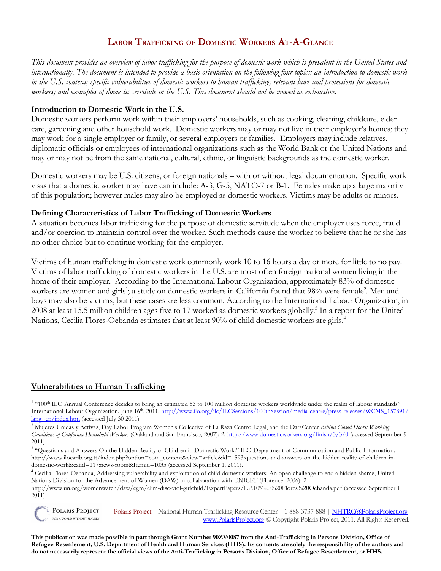# **LABOR TRAFFICKING OF DOMESTIC WORKERS AT-A-GLANCE**

*This document provides an overview of labor trafficking for the purpose of domestic work which is prevalent in the United States and internationally. The document is intended to provide a basic orientation on the following four topics: an introduction to domestic work in the U.S. context; specific vulnerabilities of domestic workers to human trafficking; relevant laws and protections for domestic workers; and examples of domestic servitude in the U.S. This document should not be viewed as exhaustive.*

### **Introduction to Domestic Work in the U.S.**

Domestic workers perform work within their employers' households, such as cooking, cleaning, childcare, elder care, gardening and other household work. Domestic workers may or may not live in their employer's homes; they may work for a single employer or family, or several employers or families. Employers may include relatives, diplomatic officials or employees of international organizations such as the World Bank or the United Nations and may or may not be from the same national, cultural, ethnic, or linguistic backgrounds as the domestic worker.

Domestic workers may be U.S. citizens, or foreign nationals – with or without legal documentation. Specific work visas that a domestic worker may have can include: A-3, G-5, NATO-7 or B-1. Females make up a large majority of this population; however males may also be employed as domestic workers. Victims may be adults or minors.

#### **Defining Characteristics of Labor Trafficking of Domestic Workers**

A situation becomes labor trafficking for the purpose of domestic servitude when the employer uses force, fraud and/or coercion to maintain control over the worker. Such methods cause the worker to believe that he or she has no other choice but to continue working for the employer.

Victims of human trafficking in domestic work commonly work 10 to 16 hours a day or more for little to no pay. Victims of labor trafficking of domestic workers in the U.S. are most often foreign national women living in the home of their employer. According to the International Labour Organization, approximately 83% of domestic workers are women and girls<sup>[1](#page-0-0)</sup>; a study on domestic workers in California found that 98% were female<sup>[2](#page-0-1)</sup>. Men and boys may also be victims, but these cases are less common. According to the International Labour Organization, in 2008 at least 15.5 million children ages five to 17 worked as domestic workers globally.<sup>[3](#page-0-2)</sup> In a report for the United Nations, Cecilia Flores-Oebanda estimates that at least 90% of child domestic workers are girls.<sup>[4](#page-0-3)</sup>

#### **Vulnerabilities to Human Trafficking**

POLARIS PROJECT Polaris Project | National Human Trafficking Resource Center | 1-888-3737-888 | [NHTRC@PolarisProject.org](mailto:NHTRC@PolarisProject.org) FOR A WORLD WITHOUT SLAVERY [www.PolarisProject.org](http://www.PolarisProject.org/) © Copyright Polaris Project, 2011. All Rights Reserved.

**This publication was made possible in part through Grant Number 90ZV0087 from the Anti-Trafficking in Persons Division, Office of Refugee Resettlement, U.S. Department of Health and Human Services (HHS). Its contents are solely the responsibility of the authors and do not necessarily represent the official views of the Anti-Trafficking in Persons Division, Office of Refugee Resettlement, or HHS.**

<span id="page-0-0"></span><sup>&</sup>lt;sup>1</sup> "100<sup>th</sup> ILO Annual Conference decides to bring an estimated 53 to 100 million domestic workers worldwide under the realm of labour standards" International Labour Organization. June 16<sup>th</sup>, 2011. [http://www.ilo.org/ilc/ILCSessions/100thSession/media-centre/press-releases/WCMS\\_157891/](http://www.ilo.org/ilc/ILCSessions/100thSession/media-centre/press-releases/WCMS_157891/lang--en/index.htm) [lang--en/index.htm](http://www.ilo.org/ilc/ILCSessions/100thSession/media-centre/press-releases/WCMS_157891/lang--en/index.htm) (accessed July 30 2011)

<span id="page-0-1"></span><sup>2</sup> Mujeres Unidas y Activas, Day Labor Program Women's Collective of La Raza Centro Legal, and the DataCenter *Behind Closed Doors: Working Conditions of California Household Workers* (Oakland and San Francisco, 2007): 2.<http://www.domesticworkers.org/finish/3/3/0>(accessed September 9 2011)

<span id="page-0-2"></span><sup>&</sup>lt;sup>3</sup> "Questions and Answers On the Hidden Reality of Children in Domestic Work." ILO Department of Communication and Public Information. http://www.ilocarib.org.tt/index.php?option=com\_content&view=article&id=1593:questions-and-answers-on-the-hidden-reality-of-children-indomestic-work&catid=117:news-room&Itemid=1035 (accessed September 1, 2011).

<span id="page-0-3"></span><sup>&</sup>lt;sup>4</sup> Cecilia Flores-Oebanda, Addressing vulnerability and exploitation of child domestic workers: An open challenge to end a hidden shame, United Nations Division for the Advancement of Women (DAW) in collaboration with UNICEF (Florence: 2006): 2

http://www.un.org/womenwatch/daw/egm/elim-disc-viol-girlchild/ExpertPapers/EP.10%20%20Flores%20Oebanda.pdf (accessed September 1 2011)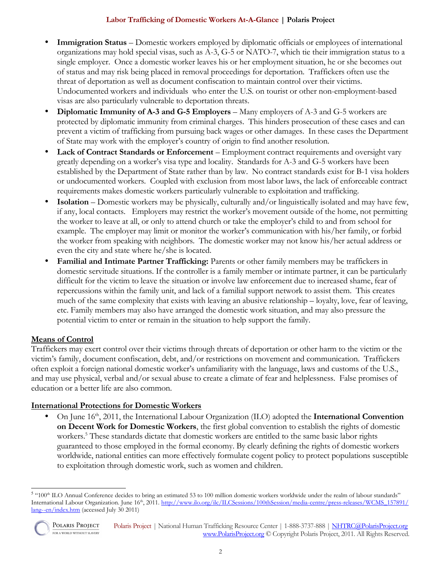### **Labor Trafficking of Domestic Workers At-A-Glance | Polaris Project**

- **Immigration Status Domestic workers employed by diplomatic officials or employees of international** organizations may hold special visas, such as A-3, G-5 or NATO-7, which tie their immigration status to a single employer. Once a domestic worker leaves his or her employment situation, he or she becomes out of status and may risk being placed in removal proceedings for deportation. Traffickers often use the threat of deportation as well as document confiscation to maintain control over their victims. Undocumented workers and individuals who enter the U.S. on tourist or other non-employment-based visas are also particularly vulnerable to deportation threats.
- **Diplomatic Immunity of A-3 and G-5 Employers** Many employers of A-3 and G-5 workers are protected by diplomatic immunity from criminal charges. This hinders prosecution of these cases and can prevent a victim of trafficking from pursuing back wages or other damages. In these cases the Department of State may work with the employer's country of origin to find another resolution.
- **Lack of Contract Standards or Enforcement**  Employment contract requirements and oversight vary greatly depending on a worker's visa type and locality. Standards for A-3 and G-5 workers have been established by the Department of State rather than by law. No contract standards exist for B-1 visa holders or undocumented workers. Coupled with exclusion from most labor laws, the lack of enforceable contract requirements makes domestic workers particularly vulnerable to exploitation and trafficking.
- **Isolation** Domestic workers may be physically, culturally and/or linguistically isolated and may have few, if any, local contacts. Employers may restrict the worker's movement outside of the home, not permitting the worker to leave at all, or only to attend church or take the employer's child to and from school for example. The employer may limit or monitor the worker's communication with his/her family, or forbid the worker from speaking with neighbors. The domestic worker may not know his/her actual address or even the city and state where he/she is located.
- **Familial and Intimate Partner Trafficking:** Parents or other family members may be traffickers in domestic servitude situations. If the controller is a family member or intimate partner, it can be particularly difficult for the victim to leave the situation or involve law enforcement due to increased shame, fear of repercussions within the family unit, and lack of a familial support network to assist them. This creates much of the same complexity that exists with leaving an abusive relationship – loyalty, love, fear of leaving, etc. Family members may also have arranged the domestic work situation, and may also pressure the potential victim to enter or remain in the situation to help support the family.

# **Means of Control**

Traffickers may exert control over their victims through threats of deportation or other harm to the victim or the victim's family, document confiscation, debt, and/or restrictions on movement and communication. Traffickers often exploit a foreign national domestic worker's unfamiliarity with the language, laws and customs of the U.S., and may use physical, verbal and/or sexual abuse to create a climate of fear and helplessness. False promises of education or a better life are also common.

### **International Protections for Domestic Workers**

• On June 16th, 2011, the International Labour Organization (ILO) adopted the **International Convention on Decent Work for Domestic Workers**, the first global convention to establish the rights of domestic workers.<sup>[5](#page-1-0)</sup> These standards dictate that domestic workers are entitled to the same basic labor rights guaranteed to those employed in the formal economy. By clearly defining the rights of domestic workers worldwide, national entities can more effectively formulate cogent policy to protect populations susceptible to exploitation through domestic work, such as women and children.

<span id="page-1-0"></span><sup>&</sup>lt;sup>5</sup> "100<sup>th</sup> ILO Annual Conference decides to bring an estimated 53 to 100 million domestic workers worldwide under the realm of labour standards" International Labour Organization. June 16<sup>th</sup>, 2011. [http://www.ilo.org/ilc/ILCSessions/100thSession/media-centre/press-releases/WCMS\\_157891/](http://www.ilo.org/ilc/ILCSessions/100thSession/media-centre/press-releases/WCMS_157891/lang--en/index.htm) [lang--en/index.htm](http://www.ilo.org/ilc/ILCSessions/100thSession/media-centre/press-releases/WCMS_157891/lang--en/index.htm) (accessed July 30 2011)



POLARIS PROJECT FOR A WORLD WITHOUT SLAVERY

Polaris Project | National Human Trafficking Resource Center | 1-888-3737-888 | [NHTRC@PolarisProject.org](mailto:NHTRC@PolarisProject.org) [www.PolarisProject.org](http://www.PolarisProject.org/) © Copyright Polaris Project, 2011. All Rights Reserved.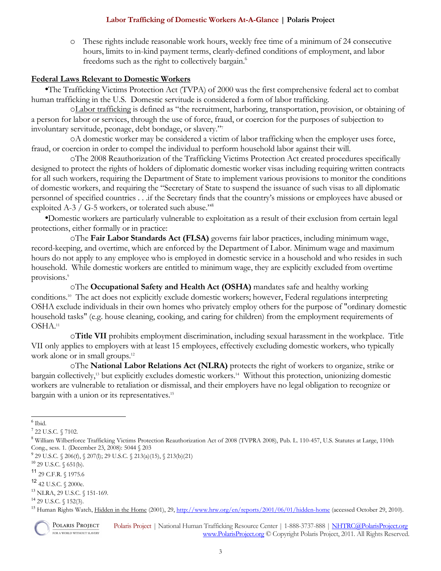#### **Labor Trafficking of Domestic Workers At-A-Glance | Polaris Project**

o These rights include reasonable work hours, weekly free time of a minimum of 24 consecutive hours, limits to in-kind payment terms, clearly-defined conditions of employment, and labor freedoms such as the right to collectively bargain.<sup>[6](#page-2-0)</sup>

### **Federal Laws Relevant to Domestic Workers**

•The Trafficking Victims Protection Act (TVPA) of 2000 was the first comprehensive federal act to combat human trafficking in the U.S. Domestic servitude is considered a form of labor trafficking.

o Labor trafficking is defined as "the recruitment, harboring, transportation, provision, or obtaining of a person for labor or services, through the use of force, fraud, or coercion for the purposes of subjection to involuntary servitude, peonage, debt bondage, or slavery."[7](#page-2-1)

oA domestic worker may be considered a victim of labor trafficking when the employer uses force, fraud, or coercion in order to compel the individual to perform household labor against their will.

oThe 2008 Reauthorization of the Trafficking Victims Protection Act created procedures specifically designed to protect the rights of holders of diplomatic domestic worker visas including requiring written contracts for all such workers, requiring the Department of State to implement various provisions to monitor the conditions of domestic workers, and requiring the "Secretary of State to suspend the issuance of such visas to all diplomatic personnel of specified countries . . .if the Secretary finds that the country's missions or employees have abused or exploited A-3 / G-5 workers, or tolerated such abuse."<sup>[8](#page-2-2)</sup>

•Domestic workers are particularly vulnerable to exploitation as a result of their exclusion from certain legal protections, either formally or in practice:

oThe **Fair Labor Standards Act (FLSA)** governs fair labor practices, including minimum wage, record-keeping, and overtime, which are enforced by the Department of Labor. Minimum wage and maximum hours do not apply to any employee who is employed in domestic service in a household and who resides in such household. While domestic workers are entitled to minimum wage, they are explicitly excluded from overtime provisions[.](#page-2-3)<sup>9</sup>

oThe **Occupational Safety and Health Act (OSHA)** mandates safe and healthy working conditions.[10](#page-2-4) The act does not explicitly exclude domestic workers; however, Federal regulations interpreting OSHA exclude individuals in their own homes who privately employ others for the purpose of "ordinary domestic household tasks" (e.g. house cleaning, cooking, and caring for children) from the employment requirements of OSHA.[11](#page-2-5)

o**Title VII** prohibits employment discrimination, including sexual harassment in the workplace. Title VII only applies to employers with at least 15 employees, effectively excluding domestic workers, who typically work alone or in small groups.<sup>[12](#page-2-6)</sup>

oThe **National Labor Relations Act (NLRA)** protects the right of workers to organize, strike or bargain collectively,[13](#page-2-7) but explicitly excludes domestic workers.[14](#page-2-8) Without this protection, unionizing domestic workers are vulnerable to retaliation or dismissal, and their employers have no legal obligation to recognize or bargain with a union or its representatives.<sup>[15](#page-2-9)</sup>

<span id="page-2-9"></span><sup>&</sup>lt;sup>15</sup> Human Rights Watch, Hidden in the Home (2001), 29,<http://www.hrw.org/en/reports/2001/06/01/hidden-home>(accessed October 29, 2010).



POLARIS PROJECT Polaris Project | National Human Trafficking Resource Center | 1-888-3737-888 | [NHTRC@PolarisProject.org](mailto:NHTRC@PolarisProject.org) FOR A WORLD WITHOUT SLAVERY [www.PolarisProject.org](http://www.PolarisProject.org/) © Copyright Polaris Project, 2011. All Rights Reserved.

<span id="page-2-0"></span><sup>6</sup> Ibid.

<span id="page-2-1"></span><sup>7</sup> 22 U.S.C. § 7102.

<span id="page-2-2"></span><sup>&</sup>lt;sup>8</sup> William Wilberforce Trafficking Victims Protection Reauthorization Act of 2008 (TVPRA 2008), Pub. L. 110-457, U.S. Statutes at Large, 110th Cong., sess. 1. (December 23, 2008): 5044 § 203

<span id="page-2-3"></span><sup>9</sup> 29 U.S.C. § 206(f), § 207(l); 29 U.S.C. § 213(a)(15), § 213(b)(21)

<span id="page-2-4"></span><sup>10</sup> 29 U.S.C. § 651(b).

<span id="page-2-5"></span><sup>11</sup> 29 C.F.R. § 1975.6

<span id="page-2-6"></span> $12$   $42$  U.S.C.  $\S$   $2000$ e.

<span id="page-2-7"></span><sup>13</sup> NLRA, 29 U.S.C. § 151-169.

<span id="page-2-8"></span> $14$  29 U.S.C. § 152(3).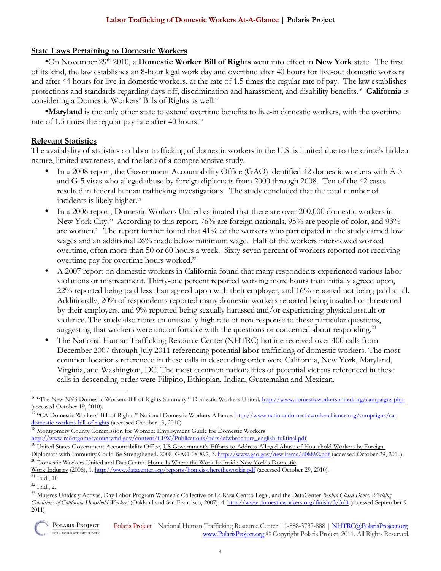### **State Laws Pertaining to Domestic Workers**

•On November 29th 2010, a **Domestic Worker Bill of Rights** went into effect in **New York** state. The first of its kind, the law establishes an 8-hour legal work day and overtime after 40 hours for live-out domestic workers and after 44 hours for live-in domestic workers, at the rate of 1.5 times the regular rate of pay. The law establishes protections and standards regarding days-off, discrimination and harassment, and disability benefits.[16](#page-3-0) **California** is considering a Domestic Workers' Bills of Rights as well.<sup>[17](#page-3-1)</sup>

•**Maryland** is the only other state to extend overtime benefits to live-in domestic workers, with the overtime rate of 1.5 times the regular pay rate after 40 hours.<sup>[18](#page-3-2)</sup>

### **Relevant Statistics**

The availability of statistics on labor trafficking of domestic workers in the U.S. is limited due to the crime's hidden nature, limited awareness, and the lack of a comprehensive study.

- In a 2008 report, the Government Accountability Office (GAO) identified 42 domestic workers with A-3 and G-5 visas who alleged abuse by foreign diplomats from 2000 through 2008. Ten of the 42 cases resulted in federal human trafficking investigations. The study concluded that the total number of incidents is likely higher.<sup>[19](#page-3-3)</sup>
- In a 2006 report, Domestic Workers United estimated that there are over 200,000 domestic workers in New York City.<sup>[20](#page-3-4)</sup> According to this report, 76% are foreign nationals, 95% are people of color, and 93% are women.<sup>[21](#page-3-5)</sup> The report further found that  $41\%$  of the workers who participated in the study earned low wages and an additional 26% made below minimum wage. Half of the workers interviewed worked overtime, often more than 50 or 60 hours a week. Sixty-seven percent of workers reported not receiving overtime pay for overtime hours worked.<sup>[22](#page-3-6)</sup>
- A 2007 report on domestic workers in California found that many respondents experienced various labor violations or mistreatment. Thirty-one percent reported working more hours than initially agreed upon, 22% reported being paid less than agreed upon with their employer, and 16% reported not being paid at all. Additionally, 20% of respondents reported many domestic workers reported being insulted or threatened by their employers, and 9% reported being sexually harassed and/or experiencing physical assault or violence. The study also notes an unusually high rate of non-response to these particular questions, suggesting that workers were uncomfortable with the questions or concerned about responding.<sup>[23](#page-3-7)</sup>
- The National Human Trafficking Resource Center (NHTRC) hotline received over 400 calls from December 2007 through July 2011 referencing potential labor trafficking of domestic workers. The most common locations referenced in these calls in descending order were California, New York, Maryland, Virginia, and Washington, DC. The most common nationalities of potential victims referenced in these calls in descending order were Filipino, Ethiopian, Indian, Guatemalan and Mexican.

<span id="page-3-2"></span><sup>18</sup> Montgomery County Commission for Women: Employment Guide for Domestic Workers

<span id="page-3-7"></span><sup>23</sup> Mujeres Unidas y Activas, Day Labor Program Women's Collective of La Raza Centro Legal, and the DataCenter *Behind Closed Doors: Working Conditions of California Household Workers* (Oakland and San Francisco, 2007): 4.<http://www.domesticworkers.org/finish/3/3/0>(accessed September 9 2011)



<span id="page-3-0"></span><sup>&</sup>lt;sup>16</sup> "The New NYS Domestic Workers Bill of Rights Summary." Domestic Workers United.<http://www.domesticworkersunited.org/campaigns.php> (accessed October 19, 2010).

<span id="page-3-1"></span><sup>&</sup>lt;sup>17</sup> "CA Domestic Workers' Bill of Rights." National Domestic Workers Alliance. [http://www.nationaldomesticworkeralliance.org/campaigns/ca](http://www.nationaldomesticworkeralliance.org/campaigns/ca-domestic-workers-bill-of-rights)[domestic-workers-bill-of-rights](http://www.nationaldomesticworkeralliance.org/campaigns/ca-domestic-workers-bill-of-rights) (accessed October 19, 2010).

[http://www.montgomerycountymd.gov/content/CFW/Publications/pdfs/cfwbrochure\\_english-fullfinal.pdf](http://www.montgomerycountymd.gov/content/CFW/Publications/pdfs/cfwbrochure_english-fullfinal.pdf)

<span id="page-3-3"></span><sup>&</sup>lt;sup>19</sup> United States Government Accountability Office, US Government's Efforts to Address Alleged Abuse of Household Workers by Foreign

<span id="page-3-4"></span>Diplomats with Immunity Could Be Strengthened. 2008, GAO-08-892, 3.<http://www.gao.gov/new.items/d08892.pdf>(accessed October 29, 2010). <sup>20</sup> Domestic Workers United and DataCenter. Home Is Where the Work Is: Inside New York's Domestic

Work Industry (2006), 1.<http://www.datacenter.org/reports/homeiswheretheworkis.pdf>(accessed October 29, 2010).

<span id="page-3-5"></span> $21$  Ibid., 10

<span id="page-3-6"></span> $22$  Ibid., 2.